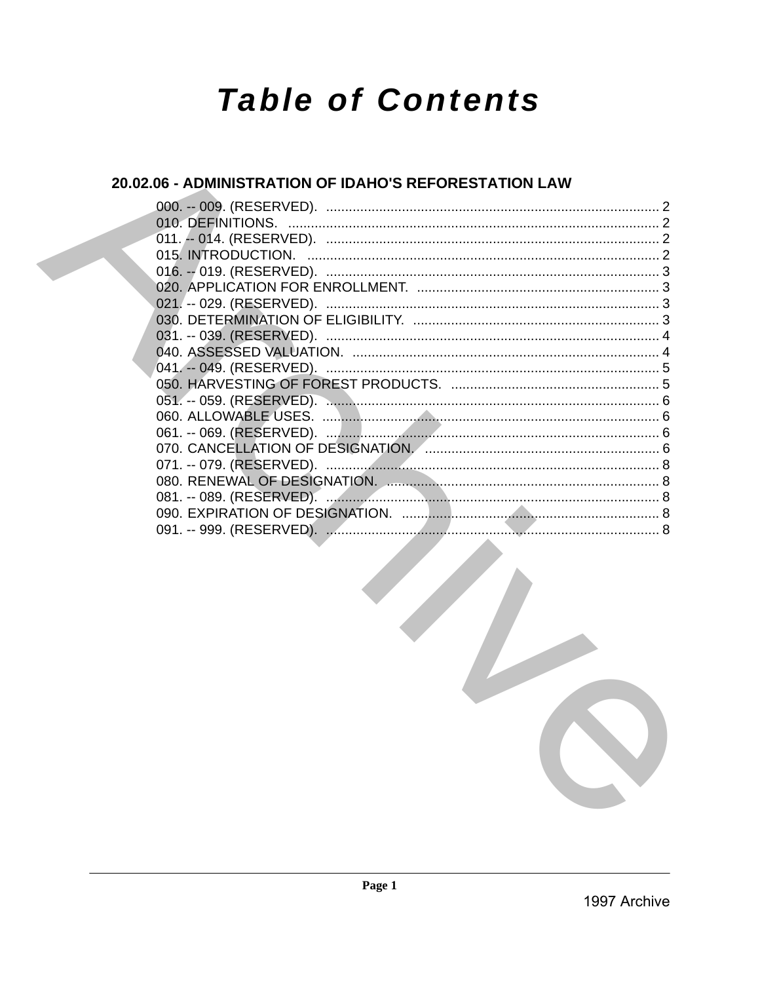# **Table of Contents**

## 20.02.06 - ADMINISTRATION OF IDAHO'S REFORESTATION LAW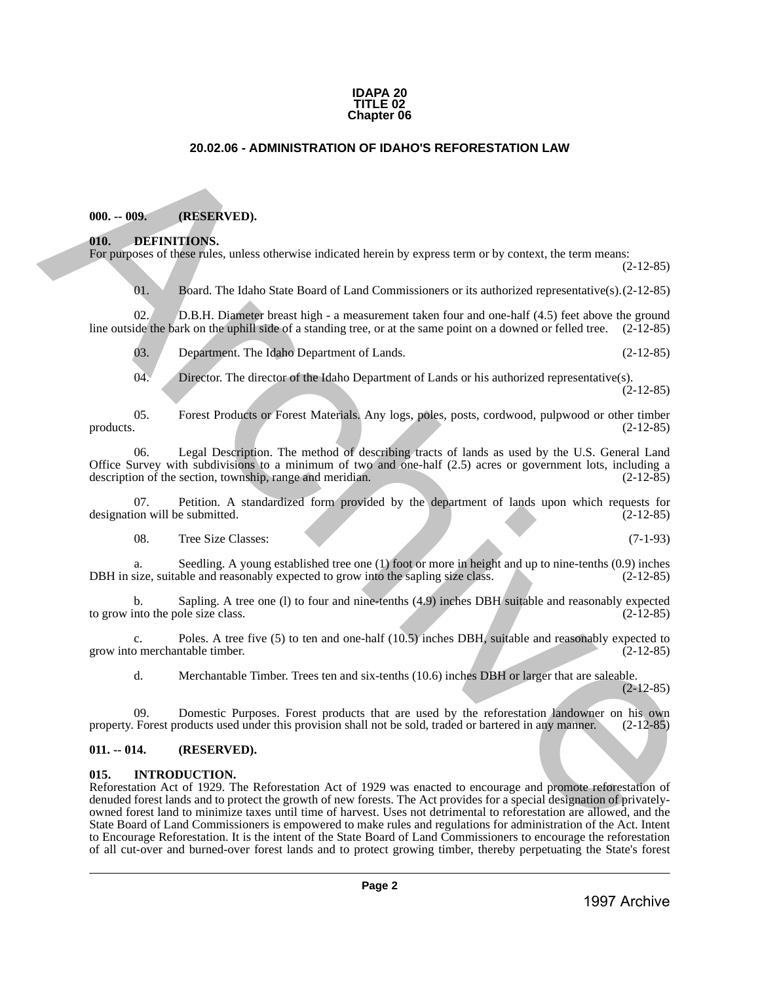#### **IDAPA 20 TITLE 02 Chapter 06**

## **20.02.06 - ADMINISTRATION OF IDAHO'S REFORESTATION LAW**

## <span id="page-1-1"></span>**000. -- 009. (RESERVED).**

## <span id="page-1-2"></span>**010. DEFINITIONS.**

For purposes of these rules, unless otherwise indicated herein by express term or by context, the term means: (2-12-85)

01. Board. The Idaho State Board of Land Commissioners or its authorized representative(s).(2-12-85)

02. D.B.H. Diameter breast high - a measurement taken four and one-half (4.5) feet above the ground line outside the bark on the uphill side of a standing tree, or at the same point on a downed or felled tree. (2-12-85)

03. Department. The Idaho Department of Lands. (2-12-85)

04. Director. The director of the Idaho Department of Lands or his authorized representative(s). (2-12-85)

05. Forest Products or Forest Materials. Any logs, poles, posts, cordwood, pulpwood or other timber products. (2-12-85) products.  $(2-12-85)$ 

06. Legal Description. The method of describing tracts of lands as used by the U.S. General Land Office Survey with subdivisions to a minimum of two and one-half  $(2.5)$  acres or government lots, including a description of the section, township, range and meridian.  $(2-12-85)$ description of the section, township, range and meridian.

07. Petition. A standardized form provided by the department of lands upon which requests for  $(2-12-85)$ designation will be submitted.

08. Tree Size Classes: (7-1-93)

a. Seedling. A young established tree one (1) foot or more in height and up to nine-tenths (0.9) inches DBH in size, suitable and reasonably expected to grow into the sapling size class. (2-12-85)

b. Sapling. A tree one (l) to four and nine-tenths (4.9) inches DBH suitable and reasonably expected into the pole size class. (2-12-85) to grow into the pole size class.

c. Poles. A tree five (5) to ten and one-half (10.5) inches DBH, suitable and reasonably expected to grow into merchantable timber. (2-12-85)

d. Merchantable Timber. Trees ten and six-tenths (10.6) inches DBH or larger that are saleable. (2-12-85)

09. Domestic Purposes. Forest products that are used by the reforestation landowner on his own<br>Forest products used under this provision shall not be sold, traded or bartered in any manner. (2-12-85) property. Forest products used under this provision shall not be sold, traded or bartered in any manner.

## <span id="page-1-3"></span>**011. -- 014. (RESERVED).**

#### <span id="page-1-4"></span>**015. INTRODUCTION.**

<span id="page-1-0"></span>Reforestation Act of 1929. The Reforestation Act of 1929 was enacted to encourage and promote reforestation of denuded forest lands and to protect the growth of new forests. The Act provides for a special designation of privatelyowned forest land to minimize taxes until time of harvest. Uses not detrimental to reforestation are allowed, and the State Board of Land Commissioners is empowered to make rules and regulations for administration of the Act. Intent to Encourage Reforestation. It is the intent of the State Board of Land Commissioners to encourage the reforestation of all cut-over and burned-over forest lands and to protect growing timber, thereby perpetuating the State's forest 20.02.06 - ADMINISTRATION OF IDAHO'S REFORESTATION LAW<br>
1997 ARCHIVENGEN (SEE CONTENTATION).<br>
1997 ARCHIVENGEN INTERNATION (SEE CONTENTATION) (SEE CONTENTATION INTERNATION (SEE CONTENTATION) (SEE CONTENTATION) (SEE CONTEN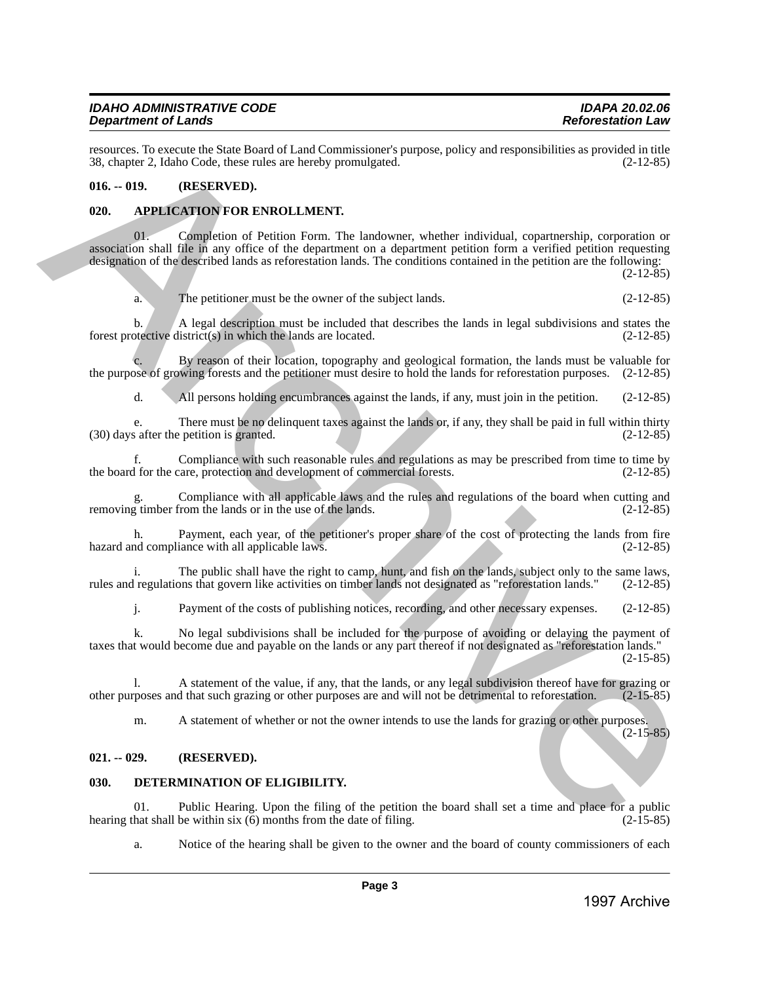resources. To execute the State Board of Land Commissioner's purpose, policy and responsibilities as provided in title<br>38. chapter 2. Idaho Code, these rules are hereby promulgated. (2-12-85) 38, chapter 2, Idaho Code, these rules are hereby promulgated.

## <span id="page-2-0"></span>**016. -- 019. (RESERVED).**

## <span id="page-2-1"></span>**020. APPLICATION FOR ENROLLMENT.**

01. Completion of Petition Form. The landowner, whether individual, copartnership, corporation or association shall file in any office of the department on a department petition form a verified petition requesting designation of the described lands as reforestation lands. The conditions contained in the petition are the following: 1990. The account of the Sim Board of Land Commissioner (papers, policy and responsibilities as provided in the Sim Archive Archives Control (1998)<br>
1997 Archive Archive Archive Archive Archive Archive Archive Archive Arc

(2-12-85)

a. The petitioner must be the owner of the subject lands. (2-12-85)

b. A legal description must be included that describes the lands in legal subdivisions and states the between district(s) in which the lands are located. (2-12-85) forest protective district( $s$ ) in which the lands are located.

By reason of their location, topography and geological formation, the lands must be valuable for the purpose of growing forests and the petitioner must desire to hold the lands for reforestation purposes. (2-12-85)

d. All persons holding encumbrances against the lands, if any, must join in the petition. (2-12-85)

e. There must be no delinquent taxes against the lands or, if any, they shall be paid in full within thirty s after the petition is granted. (2-12-85)  $(30)$  days after the petition is granted.

f. Compliance with such reasonable rules and regulations as may be prescribed from time to time by the board for the care, protection and development of commercial forests.

Compliance with all applicable laws and the rules and regulations of the board when cutting and from the lands or in the use of the lands. (2-12-85) removing timber from the lands or in the use of the lands.

h. Payment, each year, of the petitioner's proper share of the cost of protecting the lands from fire nd compliance with all applicable laws. (2-12-85) hazard and compliance with all applicable laws.

i. The public shall have the right to camp, hunt, and fish on the lands, subject only to the same laws, regulations that govern like activities on timber lands not designated as "reforestation lands." (2-12-85) rules and regulations that govern like activities on timber lands not designated as "reforestation lands."

j. Payment of the costs of publishing notices, recording, and other necessary expenses. (2-12-85)

k. No legal subdivisions shall be included for the purpose of avoiding or delaying the payment of taxes that would become due and payable on the lands or any part thereof if not designated as "reforestation lands." (2-15-85)

l. A statement of the value, if any, that the lands, or any legal subdivision thereof have for grazing or proses and that such grazing or other purposes are and will not be detrimental to reforestation. (2-15-85) other purposes and that such grazing or other purposes are and will not be detrimental to reforestation.

m. A statement of whether or not the owner intends to use the lands for grazing or other purposes. (2-15-85)

## <span id="page-2-2"></span>**021. -- 029. (RESERVED).**

## <span id="page-2-3"></span>**030. DETERMINATION OF ELIGIBILITY.**

01. Public Hearing. Upon the filing of the petition the board shall set a time and place for a public hat shall be within six  $(6)$  months from the date of filing.  $(2-15-85)$ hearing that shall be within six  $(6)$  months from the date of filing.

a. Notice of the hearing shall be given to the owner and the board of county commissioners of each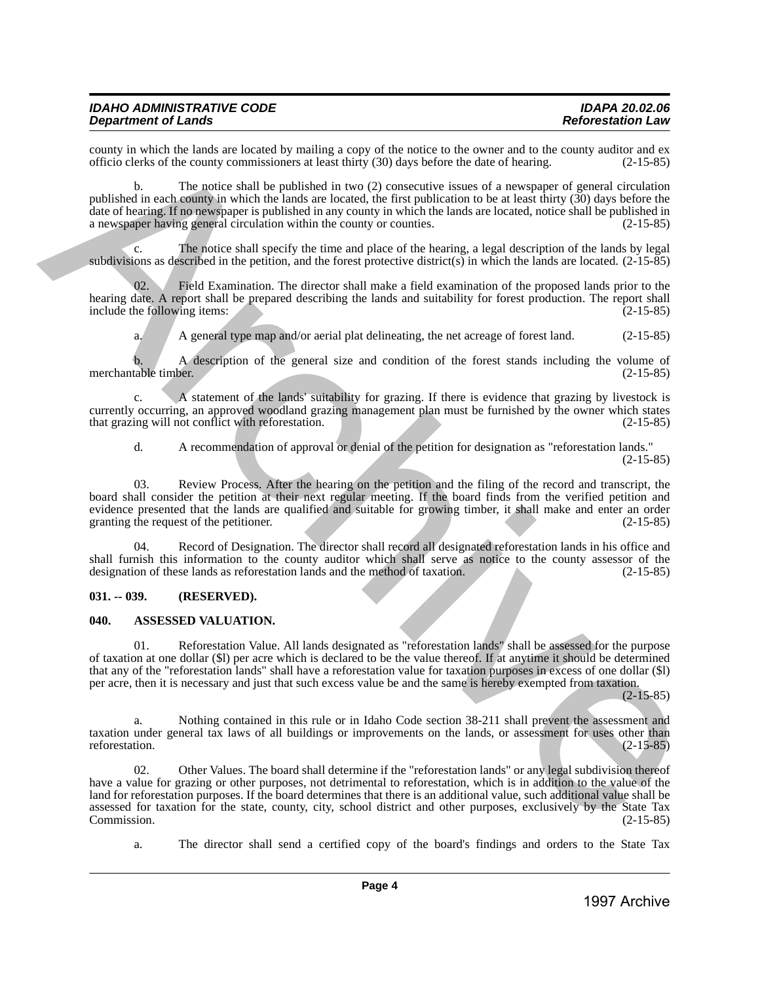| IDAHO ADMINISTRATIVE CODE  |  |
|----------------------------|--|
| <b>Department of Lands</b> |  |

county in which the lands are located by mailing a copy of the notice to the owner and to the county auditor and ex<br>officio clerks of the county commissioners at least thirty (30) days before the date of hearing. (2-15-85) officio clerks of the county commissioners at least thirty (30) days before the date of hearing. (2-15-85)

b. The notice shall be published in two (2) consecutive issues of a newspaper of general circulation published in each county in which the lands are located, the first publication to be at least thirty (30) days before the date of hearing. If no newspaper is published in any county in which the lands are located, notice shall be published in a newspaper having general circulation within the county or counties.  $(2-15-85)$ a newspaper having general circulation within the county or counties.

c. The notice shall specify the time and place of the hearing, a legal description of the lands by legal subdivisions as described in the petition, and the forest protective district(s) in which the lands are located. (2-15-85)

Field Examination. The director shall make a field examination of the proposed lands prior to the hearing date. A report shall be prepared describing the lands and suitability for forest production. The report shall include the following items: (2-15-85) include the following items:

a. A general type map and/or aerial plat delineating, the net acreage of forest land. (2-15-85)

b. A description of the general size and condition of the forest stands including the volume of merchantable timber. (2-15-85)

c. A statement of the lands' suitability for grazing. If there is evidence that grazing by livestock is currently occurring, an approved woodland grazing management plan must be furnished by the owner which states that grazing will not conflict with reforestation. (2-15-85) that grazing will not conflict with reforestation.

d. A recommendation of approval or denial of the petition for designation as "reforestation lands." (2-15-85)

Review Process. After the hearing on the petition and the filing of the record and transcript, the board shall consider the petition at their next regular meeting. If the board finds from the verified petition and evidence presented that the lands are qualified and suitable for growing timber, it shall make and enter an order granting the request of the petitioner. granting the request of the petitioner.

Record of Designation. The director shall record all designated reforestation lands in his office and shall furnish this information to the county auditor which shall serve as notice to the county assessor of the designation of these lands as reforestation lands and the method of taxation. (2-15-85) designation of these lands as reforestation lands and the method of taxation.

#### <span id="page-3-0"></span>**031. -- 039. (RESERVED).**

#### <span id="page-3-1"></span>**040. ASSESSED VALUATION.**

01. Reforestation Value. All lands designated as "reforestation lands" shall be assessed for the purpose of taxation at one dollar (\$l) per acre which is declared to be the value thereof. If at anytime it should be determined that any of the "reforestation lands" shall have a reforestation value for taxation purposes in excess of one dollar (\$l) per acre, then it is necessary and just that such excess value be and the same is hereby exempted from taxation.

(2-15-85)

a. Nothing contained in this rule or in Idaho Code section 38-211 shall prevent the assessment and taxation under general tax laws of all buildings or improvements on the lands, or assessment for uses other than reforestation.  $(2-15-85)$ 

02. Other Values. The board shall determine if the "reforestation lands" or any legal subdivision thereof have a value for grazing or other purposes, not detrimental to reforestation, which is in addition to the value of the land for reforestation purposes. If the board determines that there is an additional value, such additional value shall be assessed for taxation for the state, county, city, school district and other purposes, exclusively by the State Tax<br>(2-15-85) Commission. (2-15-85) 1998) is mixed as increasing to specify the second as the second and the county of the second and the second and the second and the second and the second and the second and the second and the second and the second and th

a. The director shall send a certified copy of the board's findings and orders to the State Tax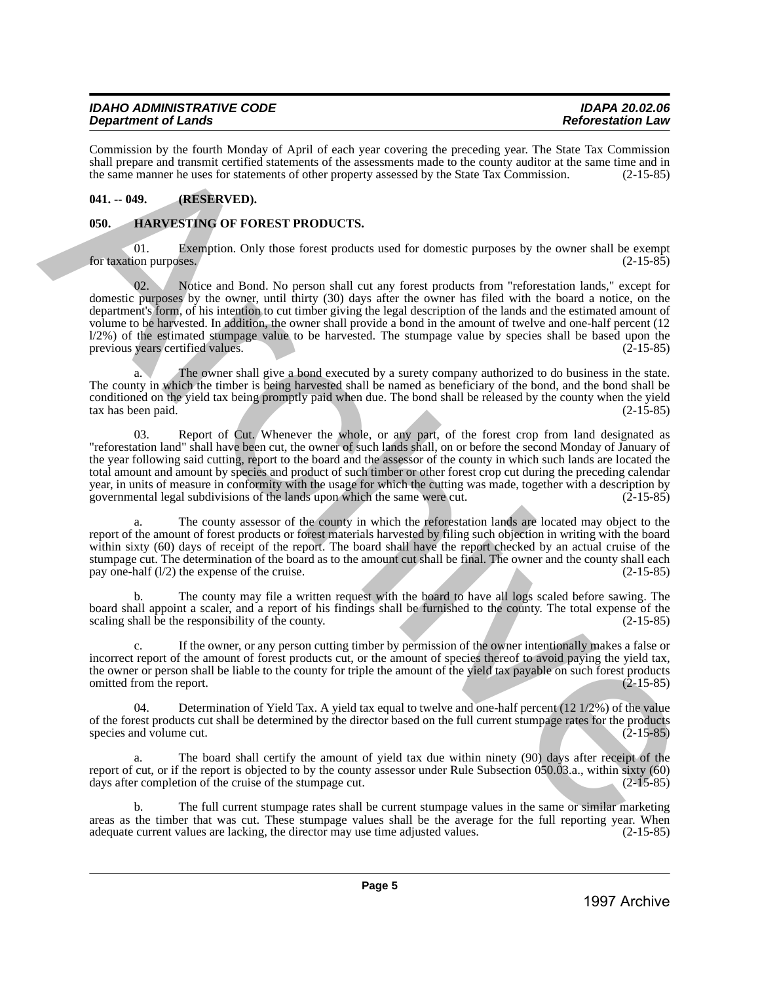Commission by the fourth Monday of April of each year covering the preceding year. The State Tax Commission shall prepare and transmit certified statements of the assessments made to the county auditor at the same time and in the same manner he uses for statements of other property assessed by the State Tax Commission. (2-15-85)

## <span id="page-4-0"></span>**041. -- 049. (RESERVED).**

## <span id="page-4-1"></span>**050. HARVESTING OF FOREST PRODUCTS.**

01. Exemption. Only those forest products used for domestic purposes by the owner shall be exempt for taxation purposes. (2-15-85)

Notice and Bond. No person shall cut any forest products from "reforestation lands," except for domestic purposes by the owner, until thirty (30) days after the owner has filed with the board a notice, on the department's form, of his intention to cut timber giving the legal description of the lands and the estimated amount of volume to be harvested. In addition, the owner shall provide a bond in the amount of twelve and one-half percent (12  $l/2\%$ ) of the estimated stumpage value to be harvested. The stumpage value by species shall be based upon the previous years certified values.  $(2-15-85)$ previous years certified values. Commission by the simulation of Apple of the Simulation of Original particles and the Simulation of Apple in the Simulation of Apple in the Simulation of Apple in the Simulation of Apple in the Simulation of Apple in the

a. The owner shall give a bond executed by a surety company authorized to do business in the state. The county in which the timber is being harvested shall be named as beneficiary of the bond, and the bond shall be conditioned on the yield tax being promptly paid when due. The bond shall be released by the county when the yield tax has been paid. (2-15-85) tax has been paid.

03. Report of Cut. Whenever the whole, or any part, of the forest crop from land designated as "reforestation land" shall have been cut, the owner of such lands shall, on or before the second Monday of January of the year following said cutting, report to the board and the assessor of the county in which such lands are located the total amount and amount by species and product of such timber or other forest crop cut during the preceding calendar year, in units of measure in conformity with the usage for which the cutting was made, together with a description by governmental legal subdivisions of the lands upon which the same were cut. (2-15-85) governmental legal subdivisions of the lands upon which the same were cut.

The county assessor of the county in which the reforestation lands are located may object to the report of the amount of forest products or forest materials harvested by filing such objection in writing with the board within sixty (60) days of receipt of the report. The board shall have the report checked by an actual cruise of the stumpage cut. The determination of the board as to the amount cut shall be final. The owner and the county shall each pay one-half (1/2) the expense of the cruise. pay one-half  $(1/2)$  the expense of the cruise.

b. The county may file a written request with the board to have all logs scaled before sawing. The board shall appoint a scaler, and a report of his findings shall be furnished to the county. The total expense of the scaling shall be the responsibility of the county. (2-15-85)

c. If the owner, or any person cutting timber by permission of the owner intentionally makes a false or incorrect report of the amount of forest products cut, or the amount of species thereof to avoid paying the yield tax, the owner or person shall be liable to the county for triple the amount of the yield tax payable on such forest products omitted from the report. (2-15-85) omitted from the report.

Determination of Yield Tax. A yield tax equal to twelve and one-half percent (12 1/2%) of the value of the forest products cut shall be determined by the director based on the full current stumpage rates for the products species and volume cut. (2-15-85)

a. The board shall certify the amount of yield tax due within ninety (90) days after receipt of the report of cut, or if the report is objected to by the county assessor under Rule Subsection 050.03.a., within sixty (60) days after completion of the cruise of the stumpage cut. (2-15-85)

b. The full current stumpage rates shall be current stumpage values in the same or similar marketing areas as the timber that was cut. These stumpage values shall be the average for the full reporting year. When<br>adequate current values are lacking, the director may use time adjusted values. (2-15-85) adequate current values are lacking, the director may use time adjusted values.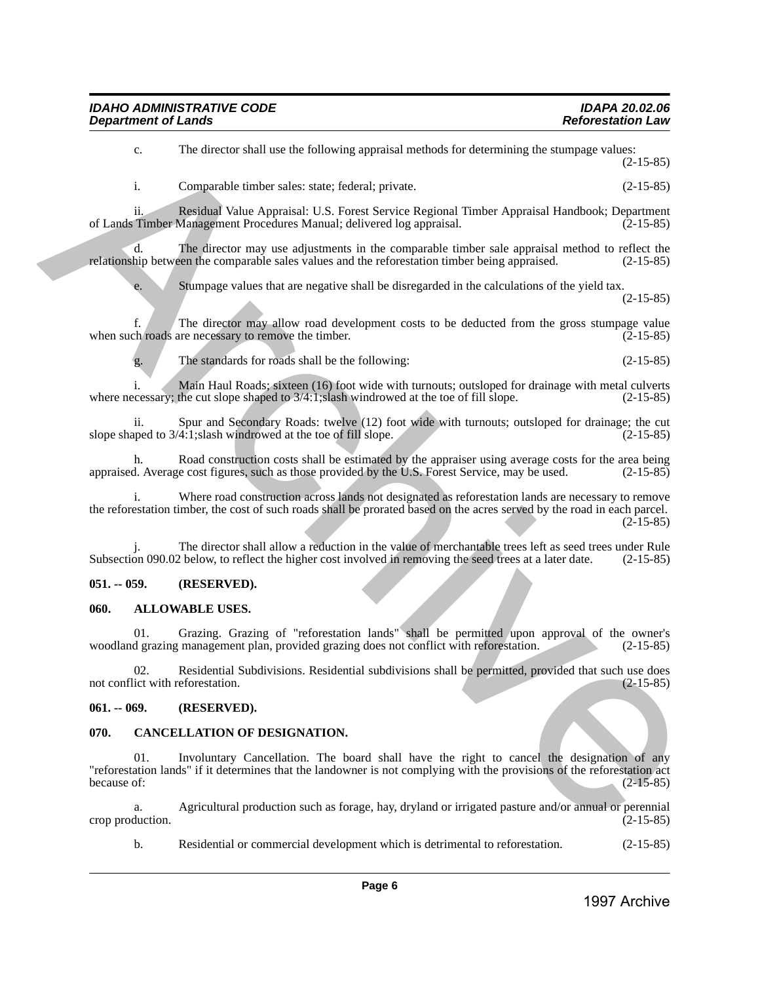| <b>IDAHO ADMINISTRATIVE CODE</b> | <b>IDAPA 20.02.06</b>    |
|----------------------------------|--------------------------|
| <b>Department of Lands</b>       | <b>Reforestation Law</b> |

i. Comparable timber sales: state; federal; private. (2-15-85) ii. Residual Value Appraisal: U.S. Forest Service Regional Timber Appraisal Handbook; Department of Lands Timber Management Procedures Manual; delivered log appraisal. d. The director may use adjustments in the comparable timber sale appraisal method to reflect the relationship between the comparable sales values and the reforestation timber being appraised. (2-15-85) e. Stumpage values that are negative shall be disregarded in the calculations of the yield tax. (2-15-85) f. The director may allow road development costs to be deducted from the gross stumpage value<br>ch roads are necessary to remove the timber. (2-15-85) when such roads are necessary to remove the timber. g. The standards for roads shall be the following: (2-15-85) 13. La discote shall asc the following approach modest in detectioning the sharpest values (2.15.45)<br>
1697 Archive Archive Archive Archive Archive Archive Archive Archive Archive Archive Archive Archive Archive Archive Ar

c. The director shall use the following appraisal methods for determining the stumpage values:

i. Main Haul Roads; sixteen (16) foot wide with turnouts; outsloped for drainage with metal culverts cessary; the cut slope shaped to  $3/4:1$ ; slash windrowed at the toe of fill slope. (2-15-85) where necessary; the cut slope shaped to  $3/4:1$ ; slash windrowed at the toe of fill slope.

ii. Spur and Secondary Roads: twelve (12) foot wide with turnouts; outsloped for drainage; the cut uped to  $3/4:1$ ; slash windrowed at the toe of fill slope. (2-15-85) slope shaped to  $3/4:1$ ; slash windrowed at the toe of fill slope.

h. Road construction costs shall be estimated by the appraiser using average costs for the area being d. Average cost figures, such as those provided by the U.S. Forest Service, may be used. (2-15-85) appraised. Average cost figures, such as those provided by the U.S. Forest Service, may be used.

Where road construction across lands not designated as reforestation lands are necessary to remove the reforestation timber, the cost of such roads shall be prorated based on the acres served by the road in each parcel.  $(2-15-85)$ 

The director shall allow a reduction in the value of merchantable trees left as seed trees under Rule Subsection 090.02 below, to reflect the higher cost involved in removing the seed trees at a later date. (2-15-85)

## <span id="page-5-0"></span>**051. -- 059. (RESERVED).**

## <span id="page-5-1"></span>**060. ALLOWABLE USES.**

01. Grazing. Grazing of "reforestation lands" shall be permitted upon approval of the owner's woodland grazing management plan, provided grazing does not conflict with reforestation.

02. Residential Subdivisions. Residential subdivisions shall be permitted, provided that such use does lict with reforestation. (2-15-85) not conflict with reforestation.

## <span id="page-5-2"></span>**061. -- 069. (RESERVED).**

## <span id="page-5-3"></span>**070. CANCELLATION OF DESIGNATION.**

01. Involuntary Cancellation. The board shall have the right to cancel the designation of any "reforestation lands" if it determines that the landowner is not complying with the provisions of the reforestation act because of:  $(2-15-85)$ 

a. Agricultural production such as forage, hay, dryland or irrigated pasture and/or annual or perennial crop production.

b. Residential or commercial development which is detrimental to reforestation. (2-15-85)

(2-15-85)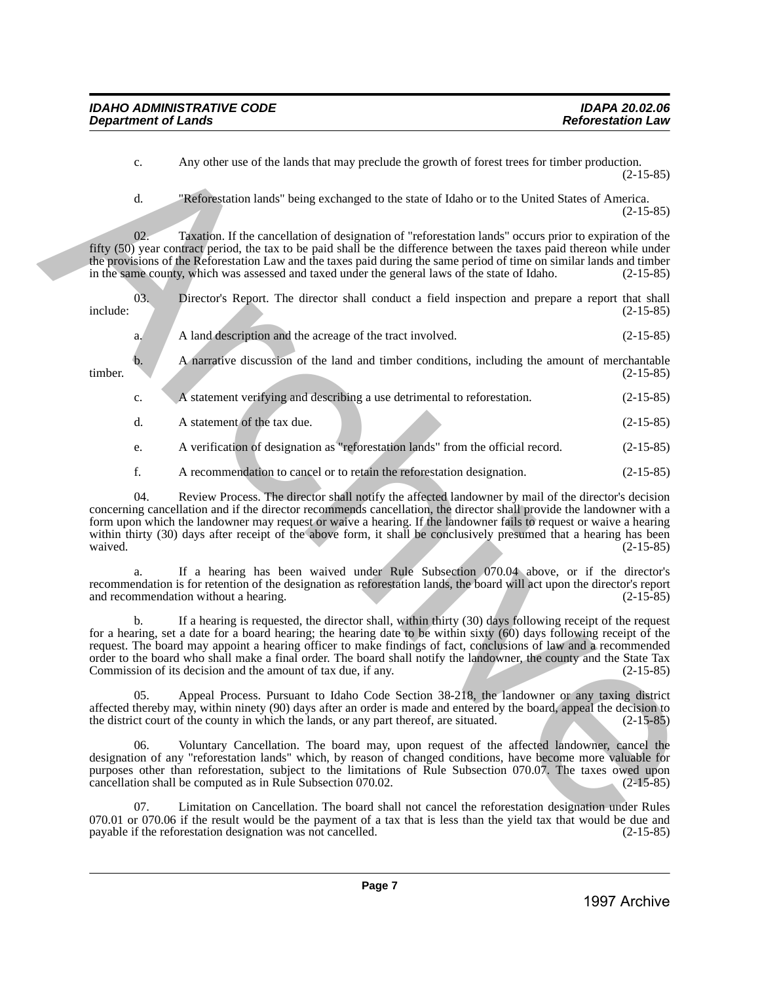c. Any other use of the lands that may preclude the growth of forest trees for timber production. (2-15-85)

d. "Reforestation lands" being exchanged to the state of Idaho or to the United States of America. (2-15-85)

02. Taxation. If the cancellation of designation of "reforestation lands" occurs prior to expiration of the fifty (50) year contract period, the tax to be paid shall be the difference between the taxes paid thereon while under the provisions of the Reforestation Law and the taxes paid during the same period of time on similar lands and timber in the same county, which was assessed and taxed under the general laws of the state of Idaho. (2-15-85)

|          |  |  |  |  |  | Director's Report. The director shall conduct a field inspection and prepare a report that shall |  |  |             |
|----------|--|--|--|--|--|--------------------------------------------------------------------------------------------------|--|--|-------------|
| include: |  |  |  |  |  |                                                                                                  |  |  | $(2-15-85)$ |

| A land description and the acreage of the tract involved. | $(2-15-85)$ |
|-----------------------------------------------------------|-------------|
|                                                           |             |

b. A narrative discussion of the land and timber conditions, including the amount of merchantable timber. (2-15-85)

- c. A statement verifying and describing a use detrimental to reforestation. (2-15-85)
- d. A statement of the tax due. (2-15-85)

e. A verification of designation as "reforestation lands" from the official record. (2-15-85)

f. A recommendation to cancel or to retain the reforestation designation. (2-15-85)

04. Review Process. The director shall notify the affected landowner by mail of the director's decision concerning cancellation and if the director recommends cancellation, the director shall provide the landowner with a form upon which the landowner may request or waive a hearing. If the landowner fails to request or waive a hearing within thirty (30) days after receipt of the above form, it shall be conclusively presumed that a hearing has been<br>waived. (2-15-85) waived.  $(2-15-85)$ 6. Any other use of the lands that may preclude the gove th of findent transformation (and 148).<br> **Archive Archive Archive Archive Archive Archive Archive Archive Archive Archive Archive Archive Archive Archive Archive Ar** 

a. If a hearing has been waived under Rule Subsection 070.04 above, or if the director's recommendation is for retention of the designation as reforestation lands, the board will act upon the director's report and recommendation without a hearing.

If a hearing is requested, the director shall, within thirty (30) days following receipt of the request for a hearing, set a date for a board hearing; the hearing date to be within sixty (60) days following receipt of the request. The board may appoint a hearing officer to make findings of fact, conclusions of law and a recommended order to the board who shall make a final order. The board shall notify the landowner, the county and the State Tax Commission of its decision and the amount of tax due, if any. (2-15-85)

05. Appeal Process. Pursuant to Idaho Code Section 38-218, the landowner or any taxing district affected thereby may, within ninety (90) days after an order is made and entered by the board, appeal the decision to the district court of the county in which the lands, or any part thereof, are situated. (2-15-85) the district court of the county in which the lands, or any part thereof, are situated.

06. Voluntary Cancellation. The board may, upon request of the affected landowner, cancel the designation of any "reforestation lands" which, by reason of changed conditions, have become more valuable for purposes other than reforestation, subject to the limitations of Rule Subsection 070.07. The taxes owed upon cancellation shall be computed as in Rule Subsection 070.02. (2-15-85)

Limitation on Cancellation. The board shall not cancel the reforestation designation under Rules 070.01 or 070.06 if the result would be the payment of a tax that is less than the yield tax that would be due and payable if the reforestation designation was not cancelled.  $(2-15-85)$ payable if the reforestation designation was not cancelled.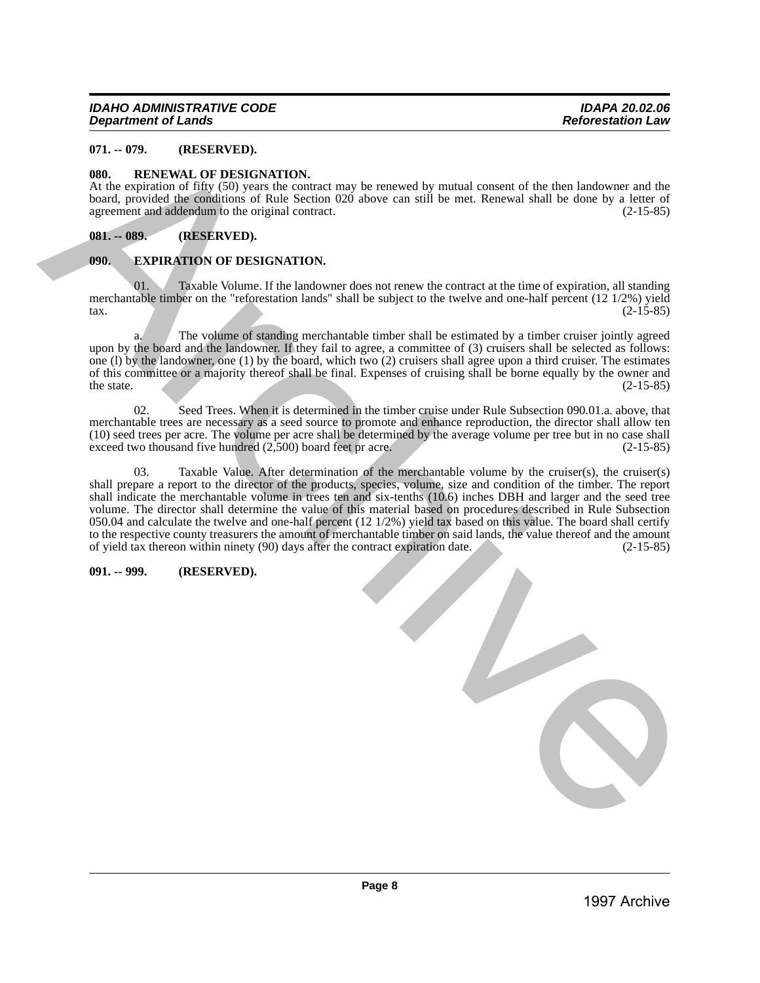## <span id="page-7-0"></span>**071. -- 079. (RESERVED).**

#### <span id="page-7-1"></span>**080. RENEWAL OF DESIGNATION.**

At the expiration of fifty (50) years the contract may be renewed by mutual consent of the then landowner and the board, provided the conditions of Rule Section 020 above can still be met. Renewal shall be done by a letter of agreement and addendum to the original contract. (2-15-85)

#### <span id="page-7-2"></span>**081. -- 089. (RESERVED).**

#### <span id="page-7-3"></span>**090. EXPIRATION OF DESIGNATION.**

Taxable Volume. If the landowner does not renew the contract at the time of expiration, all standing merchantable timber on the "reforestation lands" shall be subject to the twelve and one-half percent (12 1/2%) yield<br>(2-15-85)  $\frac{1}{2}$  (2-15-85)

a. The volume of standing merchantable timber shall be estimated by a timber cruiser jointly agreed upon by the board and the landowner. If they fail to agree, a committee of (3) cruisers shall be selected as follows: one (l) by the landowner, one (1) by the board, which two (2) cruisers shall agree upon a third cruiser. The estimates of this committee or a majority thereof shall be final. Expenses of cruising shall be borne equally by the owner and the state. (2-15-85) the state.  $(2-15-85)$ 

02. Seed Trees. When it is determined in the timber cruise under Rule Subsection 090.01.a. above, that merchantable trees are necessary as a seed source to promote and enhance reproduction, the director shall allow ten (10) seed trees per acre. The volume per acre shall be determined by the average volume per tree but in no case shall exceed two thousand five hundred (2,500) board feet pr acre. (2-15-85)

03. Taxable Value. After determination of the merchantable volume by the cruiser(s), the cruiser(s) shall prepare a report to the director of the products, species, volume, size and condition of the timber. The report shall indicate the merchantable volume in trees ten and six-tenths (10.6) inches DBH and larger and the seed tree volume. The director shall determine the value of this material based on procedures described in Rule Subsection 050.04 and calculate the twelve and one-half percent (12 1/2%) yield tax based on this value. The board shall certify to the respective county treasurers the amount of merchantable timber on said lands, the value thereof and the amount of yield tax thereon within ninety (90) days after the contract expiration date. (2-15-85) of yield tax thereon within ninety (90) days after the contract expiration date. 97. (a) SECRECTED (b) Constrained and the constrained in the constrained of the constrained archives and the constrained and the constrained and the constrained and the constrained and the constrained and the constrained

#### <span id="page-7-4"></span>**091. -- 999. (RESERVED).**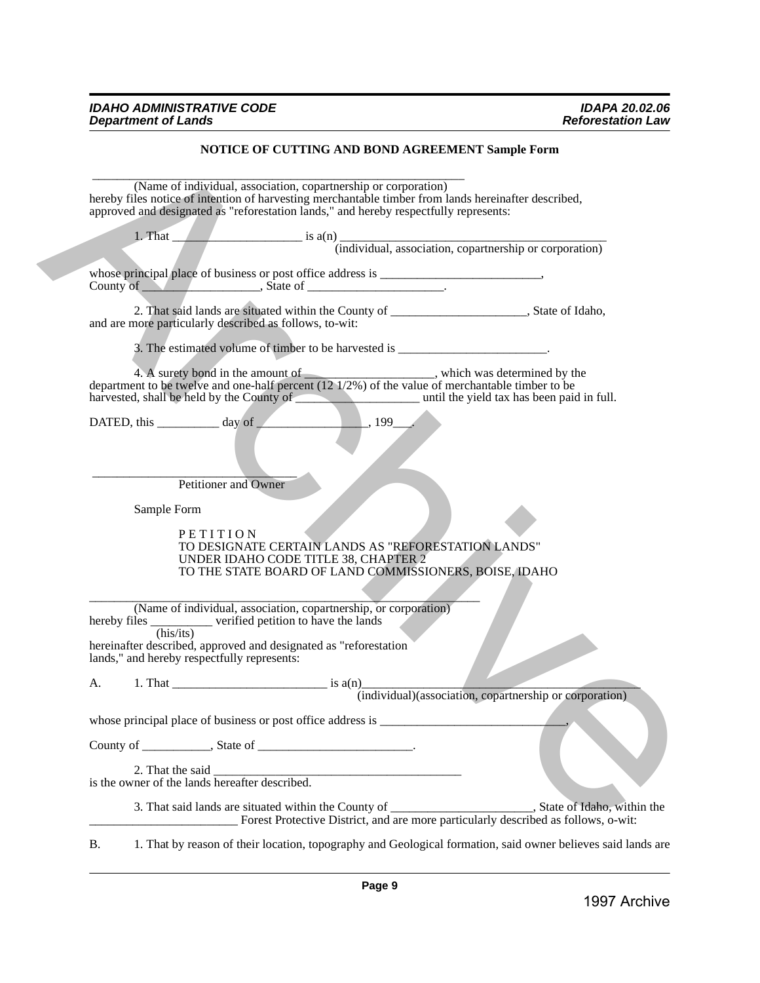## **NOTICE OF CUTTING AND BOND AGREEMENT Sample Form**

|             |                                                         | (Name of individual, association, copartnership or corporation)<br>hereby files notice of intention of harvesting merchantable timber from lands hereinafter described,<br>approved and designated as "reforestation lands," and hereby respectfully represents:                                                                                          |                                                                                                              |
|-------------|---------------------------------------------------------|-----------------------------------------------------------------------------------------------------------------------------------------------------------------------------------------------------------------------------------------------------------------------------------------------------------------------------------------------------------|--------------------------------------------------------------------------------------------------------------|
|             |                                                         | 1. That $\frac{1}{\text{index}}$ is a(n) $\frac{1}{\text{index}}$ is a(n) $\frac{1}{\text{index}}$ is a(n) $\frac{1}{\text{index}}$ is a(n) $\frac{1}{\text{index}}$ is a(n) $\frac{1}{\text{index}}$ is a(n) $\frac{1}{\text{index}}$ is a(n) $\frac{1}{\text{index}}$ is a(n) $\frac{1}{\text{index}}$ is a(n) $\frac{1}{\text{index}}$ is a(n) $\frac$ |                                                                                                              |
|             |                                                         |                                                                                                                                                                                                                                                                                                                                                           |                                                                                                              |
|             |                                                         | County of State of State of State of State of State of State of State of State of State of State of State of State of State of State of State of State of State of State of State of State of State of State of State of State                                                                                                                            |                                                                                                              |
|             | and are more particularly described as follows, to-wit: | 2. That said lands are situated within the County of __________________________, State of Idaho,                                                                                                                                                                                                                                                          |                                                                                                              |
|             |                                                         | 3. The estimated volume of timber to be harvested is _______________________.                                                                                                                                                                                                                                                                             |                                                                                                              |
|             |                                                         | 4. A surety bond in the amount of $\frac{4.86}{2}$ , which was determined by the department to be twelve and one-half percent (12 1/2%) of the value of merchantable timber to be<br>harvested, shall be held by the County of which was been paid in full.                                                                                               |                                                                                                              |
|             |                                                         | $\boxed{199}$                                                                                                                                                                                                                                                                                                                                             |                                                                                                              |
|             | Petitioner and Owner                                    |                                                                                                                                                                                                                                                                                                                                                           |                                                                                                              |
| Sample Form |                                                         |                                                                                                                                                                                                                                                                                                                                                           |                                                                                                              |
|             | PETITION                                                | TO DESIGNATE CERTAIN LANDS AS "REFORESTATION LANDS"<br>UNDER IDAHO CODE TITLE 38, CHAPTER 2<br>TO THE STATE BOARD OF LAND COMMISSIONERS, BOISE, IDAHO                                                                                                                                                                                                     |                                                                                                              |
|             |                                                         | (Name of individual, association, copartnership, or corporation)<br>hereby files $\frac{1}{\text{(his/its)}}$ verified petition to have the lands                                                                                                                                                                                                         |                                                                                                              |
|             | lands," and hereby respectfully represents:             | hereinafter described, approved and designated as "reforestation                                                                                                                                                                                                                                                                                          |                                                                                                              |
| A.          |                                                         |                                                                                                                                                                                                                                                                                                                                                           |                                                                                                              |
|             |                                                         |                                                                                                                                                                                                                                                                                                                                                           | (individual) (association, copartnership or corporation)                                                     |
|             |                                                         |                                                                                                                                                                                                                                                                                                                                                           |                                                                                                              |
|             |                                                         | County of _____________, State of _____________________________.                                                                                                                                                                                                                                                                                          |                                                                                                              |
|             |                                                         |                                                                                                                                                                                                                                                                                                                                                           |                                                                                                              |
|             |                                                         |                                                                                                                                                                                                                                                                                                                                                           |                                                                                                              |
|             |                                                         |                                                                                                                                                                                                                                                                                                                                                           |                                                                                                              |
| Β.          |                                                         |                                                                                                                                                                                                                                                                                                                                                           | 1. That by reason of their location, topography and Geological formation, said owner believes said lands are |
|             |                                                         |                                                                                                                                                                                                                                                                                                                                                           |                                                                                                              |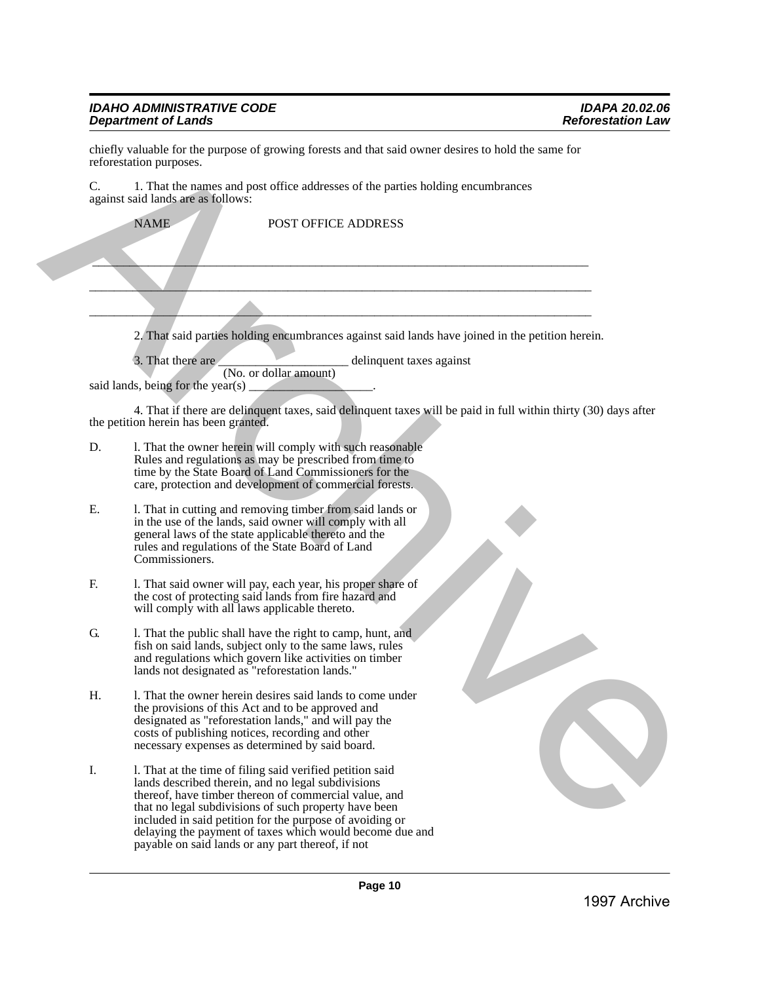## *IDAHO ADMINISTRATIVE CODE IDAPA 20.02.06 Department of Lands Reforestation Law*

| C. | 1. That the names and post office addresses of the parties holding encumbrances<br>against said lands are as follows:                                                                                                                                                                                                                                                                                          |
|----|----------------------------------------------------------------------------------------------------------------------------------------------------------------------------------------------------------------------------------------------------------------------------------------------------------------------------------------------------------------------------------------------------------------|
|    | <b>NAME</b><br>POST OFFICE ADDRESS                                                                                                                                                                                                                                                                                                                                                                             |
|    |                                                                                                                                                                                                                                                                                                                                                                                                                |
|    |                                                                                                                                                                                                                                                                                                                                                                                                                |
|    | 2. That said parties holding encumbrances against said lands have joined in the petition herein.                                                                                                                                                                                                                                                                                                               |
|    | 3. That there are<br>delinquent taxes against<br>(No. or dollar amount)                                                                                                                                                                                                                                                                                                                                        |
|    | said lands, being for the year(s) $\_\_$                                                                                                                                                                                                                                                                                                                                                                       |
|    | 4. That if there are delinquent taxes, said delinquent taxes will be paid in full within thirty (30) days after<br>the petition herein has been granted.                                                                                                                                                                                                                                                       |
| D. | 1. That the owner herein will comply with such reasonable<br>Rules and regulations as may be prescribed from time to<br>time by the State Board of Land Commissioners for the<br>care, protection and development of commercial forests.                                                                                                                                                                       |
| Ε. | 1. That in cutting and removing timber from said lands or<br>in the use of the lands, said owner will comply with all<br>general laws of the state applicable thereto and the<br>rules and regulations of the State Board of Land<br>Commissioners.                                                                                                                                                            |
| F. | 1. That said owner will pay, each year, his proper share of<br>the cost of protecting said lands from fire hazard and<br>will comply with all laws applicable thereto.                                                                                                                                                                                                                                         |
| G. | l. That the public shall have the right to camp, hunt, and<br>fish on said lands, subject only to the same laws, rules<br>and regulations which govern like activities on timber<br>lands not designated as "reforestation lands."                                                                                                                                                                             |
| Н. | 1. That the owner herein desires said lands to come under<br>the provisions of this Act and to be approved and<br>designated as "reforestation lands," and will pay the<br>costs of publishing notices, recording and other<br>necessary expenses as determined by said board.                                                                                                                                 |
| I. | 1. That at the time of filing said verified petition said<br>lands described therein, and no legal subdivisions<br>thereof, have timber thereon of commercial value, and<br>that no legal subdivisions of such property have been<br>included in said petition for the purpose of avoiding or<br>delaying the payment of taxes which would become due and<br>payable on said lands or any part thereof, if not |
|    | Page 10                                                                                                                                                                                                                                                                                                                                                                                                        |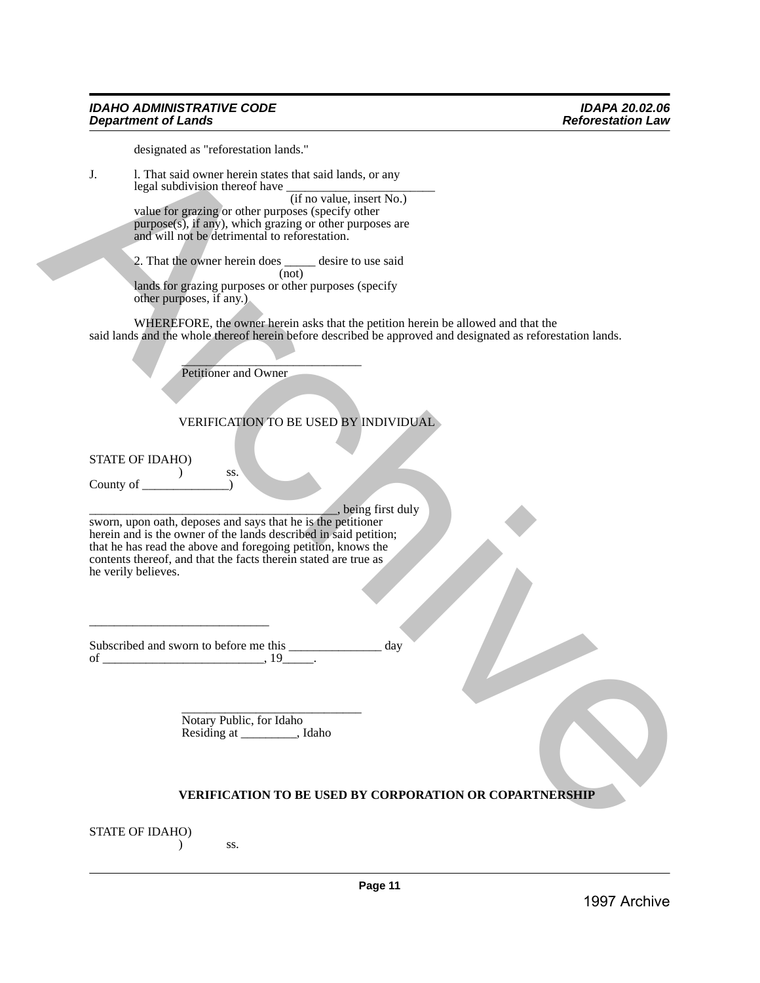#### *IDAHO ADMINISTRATIVE CODE IDAPA 20.02.06 Department of Lands*

designated as "reforestation lands."

J. l. That said owner herein states that said lands, or any legal subdivision thereof have

(if no value, insert No.) value for grazing or other purposes (specify other purpose(s), if any), which grazing or other purposes are and will not be detrimental to reforestation.

2. That the owner herein does desire to use said (not) lands for grazing purposes or other purposes (specify other purposes, if any.)

WHEREFORE, the owner herein asks that the petition herein be allowed and that the said lands and the whole thereof herein before described be approved and designated as reforestation lands. 39 Archives the control and the control and the control and the control and the control and the control and the control and the control and the control and the control and the control and the control and the control and t

 $\overline{\phantom{a}}$ Petitioner and Owner

) ss.

\_\_\_\_\_\_\_\_\_\_\_\_\_\_\_\_\_\_\_\_\_\_\_\_\_\_\_\_\_

## VERIFICATION TO BE USED BY INDIVIDUAL

STATE OF IDAHO)

County of  $\qquad \qquad$  )

\_\_\_\_\_\_\_\_\_\_\_\_\_\_\_\_\_\_\_\_\_\_\_\_\_\_\_\_\_\_\_\_\_\_\_\_\_\_\_\_, being first duly sworn, upon oath, deposes and says that he is the petitioner herein and is the owner of the lands described in said petition;

that he has read the above and foregoing petition, knows the contents thereof, and that the facts therein stated are true as he verily believes.

Subscribed and sworn to before me this day of  $\frac{19}{2}$ .

> \_\_\_\_\_\_\_\_\_\_\_\_\_\_\_\_\_\_\_\_\_\_\_\_\_\_\_\_\_ Notary Public, for Idaho Residing at \_\_\_\_\_\_\_\_\_, Idaho

## **VERIFICATION TO BE USED BY CORPORATION OR COPARTNERSHIP**

STATE OF IDAHO)

 $\overline{\phantom{a}}$  ss.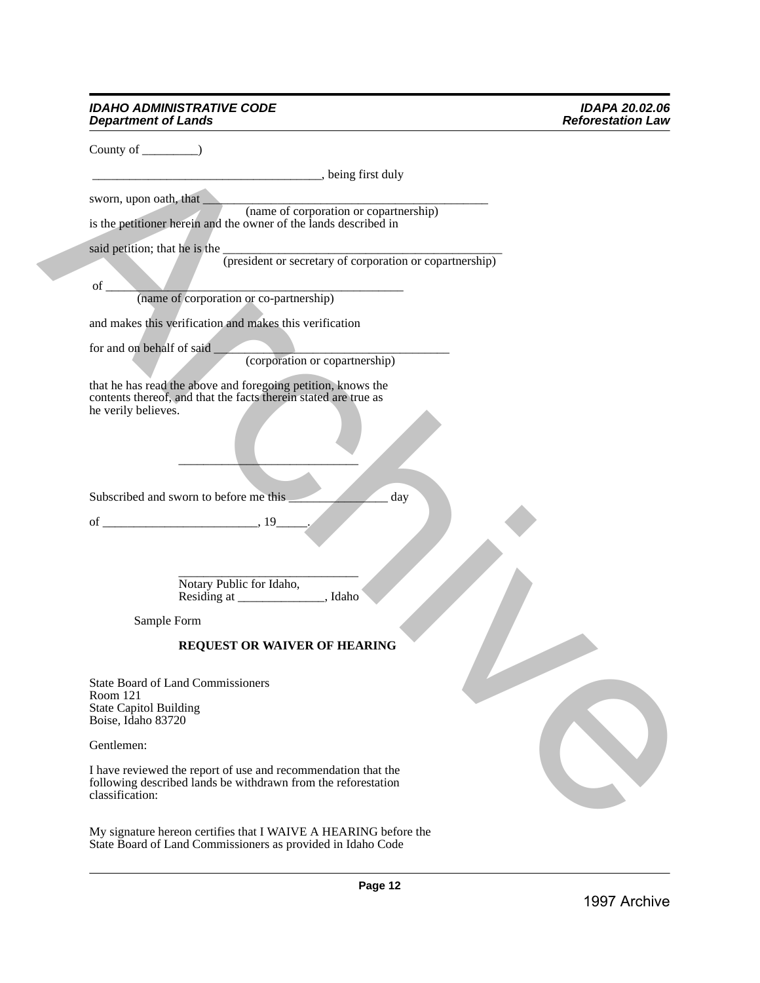#### *IDAHO ADMINISTRATIVE CODE IDAPA 20.02.06 Department of Lands Reforestation Law*

|                                                     | being first duly                                                                              |  |
|-----------------------------------------------------|-----------------------------------------------------------------------------------------------|--|
| sworn, upon oath, that                              |                                                                                               |  |
|                                                     | (name of corporation or copartnership)                                                        |  |
|                                                     | is the petitioner herein and the owner of the lands described in                              |  |
|                                                     | said petition; that he is the <i>(president or secretary of corporation or copartnership)</i> |  |
|                                                     |                                                                                               |  |
| of                                                  |                                                                                               |  |
|                                                     | (name of corporation or co-partnership)                                                       |  |
|                                                     | and makes this verification and makes this verification                                       |  |
| for and on behalf of said                           |                                                                                               |  |
|                                                     | (corporation or copartnership)                                                                |  |
|                                                     | that he has read the above and foregoing petition, knows the                                  |  |
|                                                     | contents thereof, and that the facts therein stated are true as                               |  |
| he verily believes.                                 |                                                                                               |  |
|                                                     |                                                                                               |  |
|                                                     |                                                                                               |  |
|                                                     |                                                                                               |  |
|                                                     | Subscribed and sworn to before me this _<br>day                                               |  |
|                                                     |                                                                                               |  |
|                                                     |                                                                                               |  |
|                                                     |                                                                                               |  |
|                                                     |                                                                                               |  |
|                                                     |                                                                                               |  |
|                                                     |                                                                                               |  |
| Sample Form                                         |                                                                                               |  |
|                                                     | <b>REQUEST OR WAIVER OF HEARING</b>                                                           |  |
|                                                     |                                                                                               |  |
|                                                     | <b>State Board of Land Commissioners</b>                                                      |  |
| Room 121                                            |                                                                                               |  |
| <b>State Capitol Building</b><br>Boise, Idaho 83720 |                                                                                               |  |
|                                                     |                                                                                               |  |
| Gentlemen:                                          |                                                                                               |  |
|                                                     | I have reviewed the report of use and recommendation that the                                 |  |
| classification:                                     | following described lands be withdrawn from the reforestation                                 |  |
|                                                     |                                                                                               |  |
|                                                     | My signature hereon certifies that I WAIVE A HEARING before the                               |  |
|                                                     | State Board of Land Commissioners as provided in Idaho Code                                   |  |
|                                                     |                                                                                               |  |